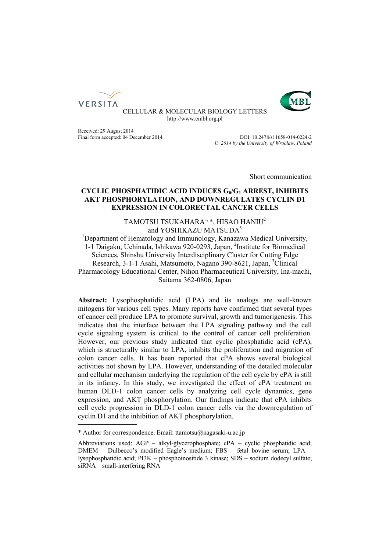



CELLULAR & MOLECULAR BIOLOGY LETTERS http://www.cmbl.org.pl

Received: 29 August 2014<br>
Final form accepted: 04 December 2014<br>
Volume 2014<br>
Volume 2014<br>
Volume 2015 Final form accepted: 04 December 2014

Published online: *© 2014 by the University of Wrocław, Poland*

Short communication

# CYCLIC PHOSPHATIDIC ACID INDUCES G<sub>0</sub>/G<sub>1</sub> ARREST, INHIBITS **AKT PHOSPHORYLATION, AND DOWNREGULATES CYCLIN D1 EXPRESSION IN COLORECTAL CANCER CELLS**

# TAMOTSU TSUKAHARA $1, *$ , HISAO HANIU<sup>2</sup> and YOSHIKAZU MATSUDA<sup>3</sup>

and YOSHIKAZU MATSUDA<sup>3</sup><br><sup>1</sup>Department of Hematology and Immunology, Kanazawa Medical University, 1-1 Daigaku, Uchinada, Ishikawa 920-0293, Japan, 2 Institute for Biomedical Sciences, Shinshu University Interdisciplinary Cluster for Cutting Edge Research, 3-1-1 Asahi, Matsumoto, Nagano 390-8621, Japan, <sup>3</sup>Clinical Pharmacology Educational Center, Nihon Pharmaceutical University, Ina-machi, Saitama 362-0806, Japan

**Abstract:** Lysophosphatidic acid (LPA) and its analogs are well-known mitogens for various cell types. Many reports have confirmed that several types of cancer cell produce LPA to promote survival, growth and tumorigenesis. This indicates that the interface between the LPA signaling pathway and the cell cycle signaling system is critical to the control of cancer cell proliferation. However, our previous study indicated that cyclic phosphatidic acid (cPA), which is structurally similar to LPA, inhibits the proliferation and migration of colon cancer cells. It has been reported that cPA shows several biological activities not shown by LPA. However, understanding of the detailed molecular and cellular mechanism underlying the regulation of the cell cycle by cPA is still in its infancy. In this study, we investigated the effect of cPA treatment on human DLD-1 colon cancer cells by analyzing cell cycle dynamics, gene expression, and AKT phosphorylation. Our findings indicate that cPA inhibits cell cycle progression in DLD-1 colon cancer cells via the downregulation of cyclin D1 and the inhibition of AKT phosphorylation.

<sup>\*</sup> Author for correspondence. Email: ttamotsu@nagasaki-u.ac.jp

Abbreviations used: AGP – alkyl-glycerophosphate; cPA – cyclic phosphatidic acid; DMEM – Dulbecco's modified Eagle's medium; FBS – fetal bovine serum; LPA – lysophosphatidic acid; PI3K – phosphoinositide 3 kinase; SDS – sodium dodecyl sulfate; siRNA – small-interfering RNA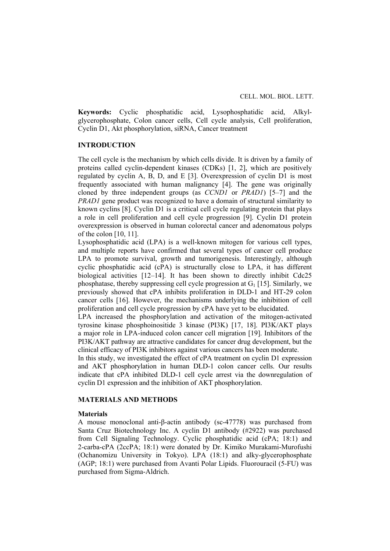**Keywords:** Cyclic phosphatidic acid, Lysophosphatidic acid, Alkylglycerophosphate, Colon cancer cells, Cell cycle analysis, Cell proliferation, Cyclin D1, Akt phosphorylation, siRNA, Cancer treatment

## **INTRODUCTION**

The cell cycle is the mechanism by which cells divide. It is driven by a family of proteins called cyclin-dependent kinases (CDKs) [1, 2], which are positively regulated by cyclin A, B, D, and E [3]. Overexpression of cyclin D1 is most frequently associated with human malignancy [4]. The gene was originally cloned by three independent groups (as *CCND1* or *PRAD1*) [5–7] and the *PRAD1* gene product was recognized to have a domain of structural similarity to known cyclins [8]. Cyclin D1 is a critical cell cycle regulating protein that plays a role in cell proliferation and cell cycle progression [9]. Cyclin D1 protein overexpression is observed in human colorectal cancer and adenomatous polyps of the colon [10, 11].

Lysophosphatidic acid (LPA) is a well-known mitogen for various cell types, and multiple reports have confirmed that several types of cancer cell produce LPA to promote survival, growth and tumorigenesis. Interestingly, although cyclic phosphatidic acid (cPA) is structurally close to LPA, it has different biological activities [12–14]. It has been shown to directly inhibit Cdc25 phosphatase, thereby suppressing cell cycle progression at  $G_1$  [15]. Similarly, we previously showed that cPA inhibits proliferation in DLD-1 and HT-29 colon cancer cells [16]. However, the mechanisms underlying the inhibition of cell proliferation and cell cycle progression by cPA have yet to be elucidated.

LPA increased the phosphorylation and activation of the mitogen-activated tyrosine kinase phosphoinositide 3 kinase (PI3K) [17, 18]. PI3K/AKT plays a major role in LPA-induced colon cancer cell migration [19]. Inhibitors of the PI3K/AKT pathway are attractive candidates for cancer drug development, but the clinical efficacy of PI3K inhibitors against various cancers has been moderate.

In this study, we investigated the effect of cPA treatment on cyclin D1 expression and AKT phosphorylation in human DLD-1 colon cancer cells. Our results indicate that cPA inhibited DLD-1 cell cycle arrest via the downregulation of cyclin D1 expression and the inhibition of AKT phosphorylation.

## **MATERIALS AND METHODS**

## **Materials**

A mouse monoclonal anti-β-actin antibody (sc-47778) was purchased from Santa Cruz Biotechnology Inc. A cyclin D1 antibody (#2922) was purchased from Cell Signaling Technology. Cyclic phosphatidic acid (cPA; 18:1) and 2-carba-cPA (2ccPA; 18:1) were donated by Dr. Kimiko Murakami-Murofushi (Ochanomizu University in Tokyo). LPA (18:1) and alky-glycerophosphate (AGP; 18:1) were purchased from Avanti Polar Lipids. Fluorouracil (5-FU) was purchased from Sigma-Aldrich.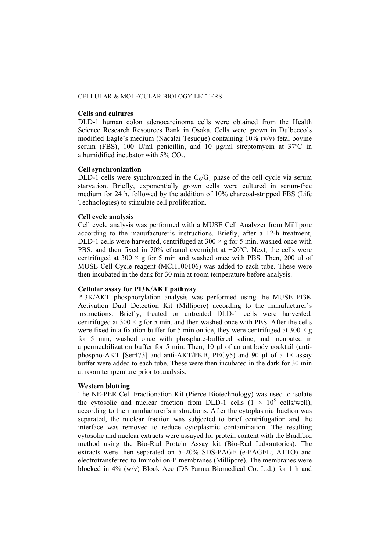## **Cells and cultures**

DLD-1 human colon adenocarcinoma cells were obtained from the Health Science Research Resources Bank in Osaka. Cells were grown in Dulbecco's modified Eagle's medium (Nacalai Tesuque) containing 10% (v/v) fetal bovine serum (FBS), 100 U/ml penicillin, and 10 μg/ml streptomycin at 37ºC in a humidified incubator with  $5\%$  CO<sub>2</sub>.

### **Cell synchronization**

DLD-1 cells were synchronized in the  $G_0/G_1$  phase of the cell cycle via serum starvation. Briefly, exponentially grown cells were cultured in serum-free medium for 24 h, followed by the addition of 10% charcoal-stripped FBS (Life Technologies) to stimulate cell proliferation.

## **Cell cycle analysis**

Cell cycle analysis was performed with a MUSE Cell Analyzer from Millipore according to the manufacturer's instructions. Briefly, after a 12-h treatment, DLD-1 cells were harvested, centrifuged at  $300 \times g$  for 5 min, washed once with PBS, and then fixed in 70% ethanol overnight at −20ºC. Next, the cells were centrifuged at 300  $\times$  g for 5 min and washed once with PBS. Then, 200 µl of MUSE Cell Cycle reagent (MCH100106) was added to each tube. These were then incubated in the dark for 30 min at room temperature before analysis.

#### **Cellular assay for PI3K/AKT pathway**

PI3K/AKT phosphorylation analysis was performed using the MUSE PI3K Activation Dual Detection Kit (Millipore) according to the manufacturer's instructions. Briefly, treated or untreated DLD-1 cells were harvested, centrifuged at  $300 \times g$  for 5 min, and then washed once with PBS. After the cells were fixed in a fixation buffer for 5 min on ice, they were centrifuged at  $300 \times g$ for 5 min, washed once with phosphate-buffered saline, and incubated in a permeabilization buffer for 5 min. Then, 10 µl of an antibody cocktail (antiphospho-AKT [Ser473] and anti-AKT/PKB, PECy5) and 90  $\mu$ l of a 1× assay buffer were added to each tube. These were then incubated in the dark for 30 min at room temperature prior to analysis.

#### **Western blotting**

The NE-PER Cell Fractionation Kit (Pierce Biotechnology) was used to isolate the cytosolic and nuclear fraction from DLD-1 cells  $(1 \times 10^5 \text{ cells/well})$ , according to the manufacturer's instructions. After the cytoplasmic fraction was separated, the nuclear fraction was subjected to brief centrifugation and the interface was removed to reduce cytoplasmic contamination. The resulting cytosolic and nuclear extracts were assayed for protein content with the Bradford method using the Bio-Rad Protein Assay kit (Bio-Rad Laboratories). The extracts were then separated on 5–20% SDS-PAGE (e-PAGEL; ATTO) and electrotransferred to Immobilon-P membranes (Millipore). The membranes were blocked in 4% (w/v) Block Ace (DS Parma Biomedical Co. Ltd.) for 1 h and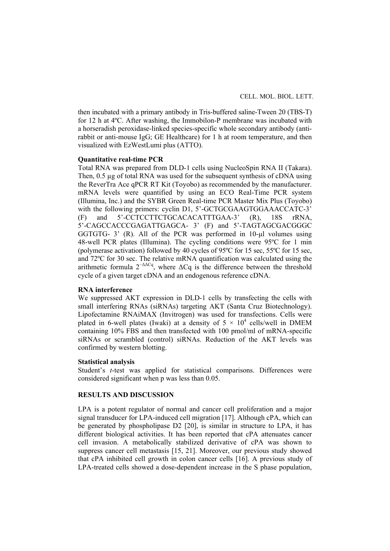then incubated with a primary antibody in Tris-buffered saline-Tween 20 (TBS-T) for 12 h at 4ºC. After washing, the Immobilon-P membrane was incubated with a horseradish peroxidase-linked species-specific whole secondary antibody (antirabbit or anti-mouse IgG; GE Healthcare) for 1 h at room temperature, and then visualized with EzWestLumi plus (ATTO).

### **Quantitative real-time PCR**

Total RNA was prepared from DLD-1 cells using NucleoSpin RNA II (Takara). Then, 0.5 ug of total RNA was used for the subsequent synthesis of cDNA using the ReverTra Ace qPCR RT Kit (Toyobo) as recommended by the manufacturer. mRNA levels were quantified by using an ECO Real-Time PCR system (Illumina, Inc.) and the SYBR Green Real-time PCR Master Mix Plus (Toyobo) with the following primers: cyclin D1, 5'-GCTGCGAAGTGGAAACCATC-3' (F) and 5'-CCTCCTTCTGCACACATTTGAA-3' (R), 18S rRNA, 5'-CAGCCACCCGAGATTGAGCA- 3' (F) and 5'-TAGTAGCGACGGGC GGTGTG- 3' (R). All of the PCR was performed in 10-µl volumes using 48-well PCR plates (Illumina). The cycling conditions were 95ºC for 1 min (polymerase activation) followed by 40 cycles of 95ºC for 15 sec, 55ºC for 15 sec, and 72ºC for 30 sec. The relative mRNA quantification was calculated using the arithmetic formula  $2^{-\Delta\Delta Cq}$ , where  $\Delta Cq$  is the difference between the threshold cycle of a given target cDNA and an endogenous reference cDNA.

## **RNA interference**

We suppressed AKT expression in DLD-1 cells by transfecting the cells with small interfering RNAs (siRNAs) targeting AKT (Santa Cruz Biotechnology). Lipofectamine RNAiMAX (Invitrogen) was used for transfections. Cells were plated in 6-well plates (Iwaki) at a density of  $5 \times 10^4$  cells/well in DMEM containing 10% FBS and then transfected with 100 pmol/ml of mRNA-specific siRNAs or scrambled (control) siRNAs. Reduction of the AKT levels was confirmed by western blotting.

## **Statistical analysis**

Student's *t*-test was applied for statistical comparisons. Differences were considered significant when p was less than 0.05.

#### **RESULTS AND DISCUSSION**

LPA is a potent regulator of normal and cancer cell proliferation and a major signal transducer for LPA-induced cell migration [17]. Although cPA, which can be generated by phospholipase D2 [20], is similar in structure to LPA, it has different biological activities. It has been reported that cPA attenuates cancer cell invasion. A metabolically stabilized derivative of cPA was shown to suppress cancer cell metastasis [15, 21]. Moreover, our previous study showed that cPA inhibited cell growth in colon cancer cells [16]. A previous study of LPA-treated cells showed a dose-dependent increase in the S phase population,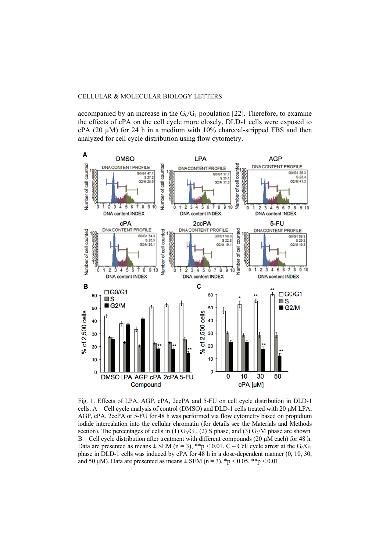accompanied by an increase in the  $G_0/G_1$  population [22]. Therefore, to examine the effects of cPA on the cell cycle more closely, DLD-1 cells were exposed to  $cPA$  (20  $\mu$ M) for 24 h in a medium with 10% charcoal-stripped FBS and then analyzed for cell cycle distribution using flow cytometry.



Fig. 1. Effects of LPA, AGP, cPA, 2ccPA and 5-FU on cell cycle distribution in DLD-1 cells.  $A -$  Cell cycle analysis of control (DMSO) and DLD-1 cells treated with 20  $\mu$ M LPA, AGP, cPA, 2ccPA or 5-FU for 48 h was performed via flow cytometry based on propidium iodide intercalation into the cellular chromatin (for details see the Materials and Methods section). The percentages of cells in (1)  $G_0/G_1$ , (2) S phase, and (3)  $G_2/M$  phase are shown. B – Cell cycle distribution after treatment with different compounds (20 μM each) for 48 h. Data are presented as means  $\pm$  SEM (n = 3), \*\*p < 0.01. C – Cell cycle arrest at the G<sub>0</sub>/G<sub>1</sub> phase in DLD-1 cells was induced by cPA for 48 h in a dose-dependent manner (0, 10, 30, and 50  $\mu$ M). Data are presented as means  $\pm$  SEM (n = 3), \*p < 0.05, \*\*p < 0.01.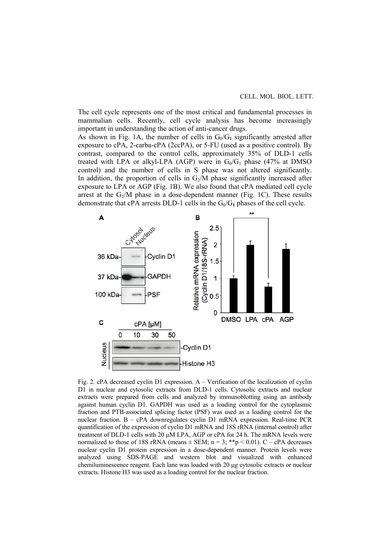The cell cycle represents one of the most critical and fundamental processes in mammalian cells. Recently, cell cycle analysis has become increasingly important in understanding the action of anti-cancer drugs.

As shown in Fig. 1A, the number of cells in  $G_0/G_1$  significantly arrested after exposure to cPA, 2-carba-cPA (2ccPA), or 5-FU (used as a positive control). By contrast, compared to the control cells, approximately 35% of DLD-1 cells treated with LPA or alkyl-LPA (AGP) were in  $G_0/G_1$  phase (47% at DMSO control) and the number of cells in S phase was not altered significantly. In addition, the proportion of cells in  $G_2/M$  phase significantly increased after exposure to LPA or AGP (Fig. 1B). We also found that cPA mediated cell cycle arrest at the  $G_2/M$  phase in a dose-dependent manner (Fig. 1C). These results demonstrate that cPA arrests DLD-1 cells in the  $G_0/G_1$  phases of the cell cycle.



Fig. 2. cPA decreased cyclin D1 expression. A – Verification of the localization of cyclin D1 in nuclear and cytosolic extracts from DLD-1 cells. Cytosolic extracts and nuclear extracts were prepared from cells and analyzed by immunoblotting using an antibody against human cyclin D1. GAPDH was used as a loading control for the cytoplasmic fraction and PTB-associated splicing factor (PSF) was used as a loading control for the nuclear fraction. B – cPA downregulates cyclin D1 mRNA expression. Real-time PCR quantification of the expression of cyclin D1 mRNA and 18S rRNA (internal control) after treatment of DLD-1 cells with 20 μM LPA, AGP or cPA for 24 h. The mRNA levels were normalized to those of 18S rRNA (means  $\pm$  SEM; n = 3; \*\*p < 0.01). C – cPA decreases nuclear cyclin D1 protein expression in a dose-dependent manner. Protein levels were analyzed using SDS-PAGE and western blot and visualized with enhanced chemiluminescence reagent. Each lane was loaded with 20 μg cytosolic extracts or nuclear extracts. Histone H3 was used as a loading control for the nuclear fraction.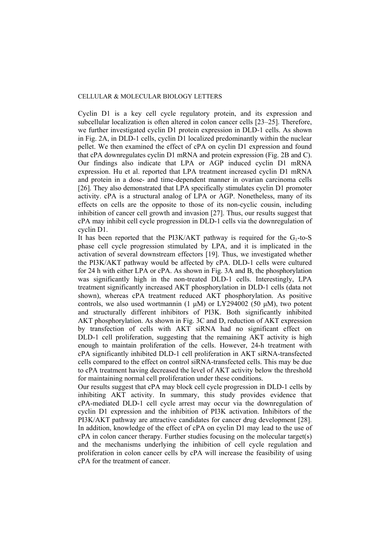Cyclin D1 is a key cell cycle regulatory protein, and its expression and subcellular localization is often altered in colon cancer cells [23–25]. Therefore, we further investigated cyclin D1 protein expression in DLD-1 cells. As shown in Fig. 2A, in DLD-1 cells, cyclin D1 localized predominantly within the nuclear pellet. We then examined the effect of cPA on cyclin D1 expression and found that cPA downregulates cyclin D1 mRNA and protein expression (Fig. 2B and C). Our findings also indicate that LPA or AGP induced cyclin D1 mRNA expression. Hu et al. reported that LPA treatment increased cyclin D1 mRNA and protein in a dose- and time-dependent manner in ovarian carcinoma cells [26]. They also demonstrated that LPA specifically stimulates cyclin D1 promoter activity. cPA is a structural analog of LPA or AGP. Nonetheless, many of its effects on cells are the opposite to those of its non-cyclic cousin, including inhibition of cancer cell growth and invasion [27]. Thus, our results suggest that cPA may inhibit cell cycle progression in DLD-1 cells via the downregulation of cyclin D1.

It has been reported that the PI3K/AKT pathway is required for the  $G_1$ -to-S phase cell cycle progression stimulated by LPA, and it is implicated in the activation of several downstream effectors [19]. Thus, we investigated whether the PI3K/AKT pathway would be affected by cPA. DLD-1 cells were cultured for 24 h with either LPA or cPA. As shown in Fig. 3A and B, the phosphorylation was significantly high in the non-treated DLD-1 cells. Interestingly, LPA treatment significantly increased AKT phosphorylation in DLD-1 cells (data not shown), whereas cPA treatment reduced AKT phosphorylation. As positive controls, we also used wortmannin (1  $\mu$ M) or LY294002 (50  $\mu$ M), two potent and structurally different inhibitors of PI3K. Both significantly inhibited AKT phosphorylation. As shown in Fig. 3C and D, reduction of AKT expression by transfection of cells with AKT siRNA had no significant effect on DLD-1 cell proliferation, suggesting that the remaining AKT activity is high enough to maintain proliferation of the cells. However, 24-h treatment with cPA significantly inhibited DLD-1 cell proliferation in AKT siRNA-transfected cells compared to the effect on control siRNA-transfected cells. This may be due to cPA treatment having decreased the level of AKT activity below the threshold for maintaining normal cell proliferation under these conditions.

Our results suggest that cPA may block cell cycle progression in DLD-1 cells by inhibiting AKT activity. In summary, this study provides evidence that cPA-mediated DLD-1 cell cycle arrest may occur via the downregulation of cyclin D1 expression and the inhibition of PI3K activation. Inhibitors of the PI3K/AKT pathway are attractive candidates for cancer drug development [28]. In addition, knowledge of the effect of cPA on cyclin D1 may lead to the use of cPA in colon cancer therapy. Further studies focusing on the molecular target(s) and the mechanisms underlying the inhibition of cell cycle regulation and proliferation in colon cancer cells by cPA will increase the feasibility of using cPA for the treatment of cancer.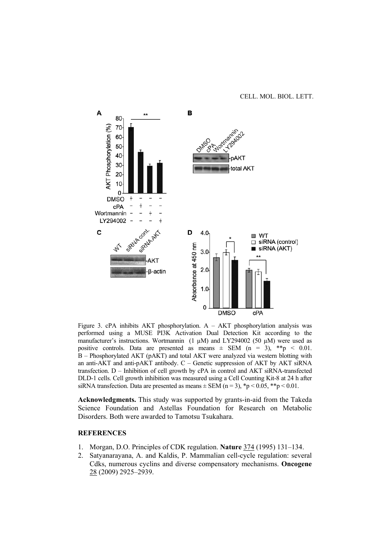CELL. MOL. BIOL. LETT.



Figure 3. cPA inhibits AKT phosphorylation. A – AKT phosphorylation analysis was performed using a MUSE PI3K Activation Dual Detection Kit according to the manufacturer's instructions. Wortmannin (1  $\mu$ M) and LY294002 (50  $\mu$ M) were used as positive controls. Data are presented as means  $\pm$  SEM (n = 3), \*\*p < 0.01. B – Phosphorylated AKT (pAKT) and total AKT were analyzed via western blotting with an anti-AKT and anti-pAKT antibody. C – Genetic suppression of AKT by AKT siRNA transfection. D – Inhibition of cell growth by cPA in control and AKT siRNA-transfected DLD-1 cells. Cell growth inhibition was measured using a Cell Counting Kit-8 at 24 h after siRNA transfection. Data are presented as means  $\pm$  SEM (n = 3), \*p < 0.05, \*\*p < 0.01.

**Acknowledgments.** This study was supported by grants-in-aid from the Takeda Science Foundation and Astellas Foundation for Research on Metabolic Disorders. Both were awarded to Tamotsu Tsukahara.

## **REFERENCES**

- 1. Morgan, D.O. Principles of CDK regulation. **Nature** 374 (1995) 131–134.
- 2. Satyanarayana, A. and Kaldis, P. Mammalian cell-cycle regulation: several Cdks, numerous cyclins and diverse compensatory mechanisms. **Oncogene**  28 (2009) 2925–2939.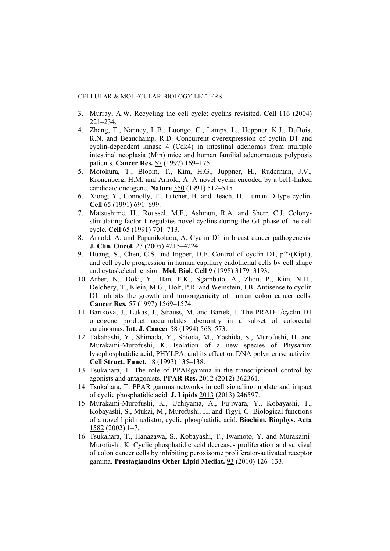- 3. Murray, A.W. Recycling the cell cycle: cyclins revisited. **Cell** 116 (2004)  $221 - 234$ .
- 4. Zhang, T., Nanney, L.B., Luongo, C., Lamps, L., Heppner, K.J., DuBois, R.N. and Beauchamp, R.D. Concurrent overexpression of cyclin D1 and cyclin-dependent kinase 4 (Cdk4) in intestinal adenomas from multiple intestinal neoplasia (Min) mice and human familial adenomatous polyposis patients. **Cancer Res.** 57 (1997) 169–175.
- 5. Motokura, T., Bloom, T., Kim, H.G., Juppner, H., Ruderman, J.V., Kronenberg, H.M. and Arnold, A. A novel cyclin encoded by a bcl1-linked candidate oncogene. **Nature** 350 (1991) 512–515.
- 6. Xiong, Y., Connolly, T., Futcher, B. and Beach, D. Human D-type cyclin. **Cell** 65 (1991) 691–699.
- 7. Matsushime, H., Roussel, M.F., Ashmun, R.A. and Sherr, C.J. Colonystimulating factor 1 regulates novel cyclins during the G1 phase of the cell cycle. **Cell** 65 (1991) 701–713.
- 8. Arnold, A. and Papanikolaou, A. Cyclin D1 in breast cancer pathogenesis. **J. Clin. Oncol.** 23 (2005) 4215–4224.
- 9. Huang, S., Chen, C.S. and Ingber, D.E. Control of cyclin D1, p27(Kip1), and cell cycle progression in human capillary endothelial cells by cell shape and cytoskeletal tension. **Mol. Biol. Cell** 9 (1998) 3179–3193.
- 10. Arber, N., Doki, Y., Han, E.K., Sgambato, A., Zhou, P., Kim, N.H., Delohery, T., Klein, M.G., Holt, P.R. and Weinstein, I.B. Antisense to cyclin D1 inhibits the growth and tumorigenicity of human colon cancer cells. **Cancer Res.** 57 (1997) 1569–1574.
- 11. Bartkova, J., Lukas, J., Strauss, M. and Bartek, J. The PRAD-1/cyclin D1 oncogene product accumulates aberrantly in a subset of colorectal carcinomas. **Int. J. Cancer** 58 (1994) 568–573.
- 12. Takahashi, Y., Shimada, Y., Shioda, M., Yoshida, S., Murofushi, H. and Murakami-Murofushi, K. Isolation of a new species of Physarum lysophosphatidic acid, PHYLPA, and its effect on DNA polymerase activity. **Cell Struct. Funct.** 18 (1993) 135–138.
- 13. Tsukahara, T. The role of PPARgamma in the transcriptional control by agonists and antagonists. **PPAR Res.** 2012 (2012) 362361.
- 14. Tsukahara, T. PPAR gamma networks in cell signaling: update and impact of cyclic phosphatidic acid. **J. Lipids** 2013 (2013) 246597.
- 15. Murakami-Murofushi, K., Uchiyama, A., Fujiwara, Y., Kobayashi, T., Kobayashi, S., Mukai, M., Murofushi, H. and Tigyi, G. Biological functions of a novel lipid mediator, cyclic phosphatidic acid. **Biochim. Biophys. Acta**  1582 (2002) 1–7.
- 16. Tsukahara, T., Hanazawa, S., Kobayashi, T., Iwamoto, Y. and Murakami-Murofushi, K. Cyclic phosphatidic acid decreases proliferation and survival of colon cancer cells by inhibiting peroxisome proliferator-activated receptor gamma. **Prostaglandins Other Lipid Mediat.** 93 (2010) 126–133.